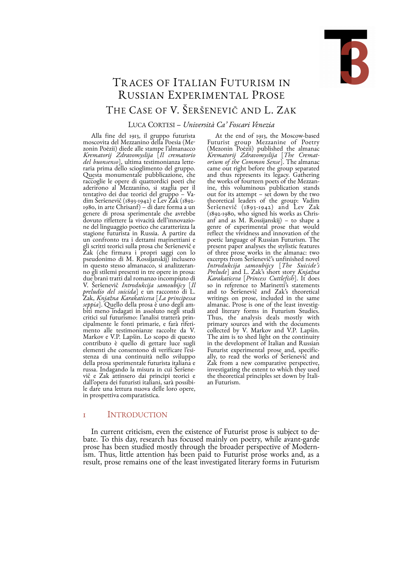

# TR ACES OF ITALIAN FUTURISM IN RUSSIAN EXPERIMENTAL PROSE THE CASE OF V. ŠERŠENEVIČ AND L. ZAK

# LUCA CORTESI – *Università Ca' Foscari Venezia*

Alla fine del 1913, il gruppo futurista moscovita del Mezzanino della Poesia (Mezonin Poėzii) diede alle stampe l'almanacco *Krematorij Zdravomyslija* [*Il crematorio del buonsenso*], ultima testimonianza lette-<br>raria prima dello scioglimento del gruppo. Questa monumentale pubblicazione, che raccoglie le opere di quattordici poeti che aderirono al Mezzanino, si staglia per il tentativo dei due teorici del gruppo – Va-<br>dim Šeršenevič (1893-1942) e Lev Zak (1892-1980, in arte Chrisanf) – di dare forma a un genere di prosa sperimentale che avrebbe ne del linguaggio poetico che caratterizza la stagione futurista in Russia. A partire da un confronto tra i dettami marinettiani e gli scritti teorici sulla prosa che Šeršenevič e Zak (che firmava i propri saggi con lo pseudonimo di M. Rossijanskij) inclusero no gli stilemi presenti in tre opere in prosa: due brani tratti dal romanzo incompiuto di V. Šeršenevič *Introdukcija samoubijcy* [*Il preludio del suicida*] e un racconto di L. Zak, *Knjažna Karakaticeva* [*La principessa*  biti meno indagati in assoluto negli studi critici sul futurismo: l'analisi tratterà principalmente le fonti primarie, e farà riferi-<br>mento alle testimonianze raccolte da V.<br>Markov e V.P. Lapšin. Lo scopo di questo contributo è quello di gettare luce sugli elementi che consentono di verificare l'esistenza di una continuità nello sviluppo della prosa sperimentale futurista italiana e<br>russa. Indagando la misura in cui Šeršenevič e Zak attinsero dai principi teorici e<br>dall'opera dei futuristi italiani, sarà possibi-<br>le dare una lettura nuova delle loro opere, in prospettiva comparatistica.

At the end of 1913, the Moscow-based Futurist group Mezzanine of Poetry<br>(Mezonin Poezii) published the almanac (Mezonin Poėzii) published the almanac *Krematorij Zdravomyslija* [*The Cremat- orium of the Common Sense*]. The almanac came out right before the group separated and thus represents its legacy. Gathering<br>the works of fourteen poets of the Mezzanthe works of fourteen poets of the Mezzan- ine, this voluminous publication stands out for its attempt – set down by the two theoretical leaders of the group: Vadim Šeršenevič (1893-1942) and Lev Zak (1892-1980, who signed his works as Chris- anf and as M. Rossijanskij) – to shape a genre of experimental prose that would reflect the vividness and innovation of the poetic language of Russian Futurism. The present paper analyses the stylistic features of three prose works in the almanac: two excerpts from Šeršenevič's unfinished novel *Introdukcija samoubijcy* [*The Suicide's Karakaticeva* [*Princess Cuttlefish*]. It does so in reference to Marinetti's statements and to Šeršenevič and Zak's theoretical writings on prose, included in the same<br>almanac. Prose is one of the least investigalmanac. Prose is one of the least investig- ated literary forms in Futurism Studies. Thus, the analysis deals mostly with primary sources and with the documents collected by V. Markov and V.P. Lapšin. The aim is to shed light on the continuity in the development of Italian and Russian Futurist experimental prose and, specific- ally, to read the works of Šeršenevič and Zak from a new comparative perspective, investigating the extent to which they used the theoretical principles set down by Itali- an Futurism.

# 1 INTRODUCTION

In current criticism, even the existence of Futurist prose is subject to debate. To this day, research has focused mainly on poetry, while avant-garde prose has been studied mostly through the broader perspective of Modern-<br>ism. Thus, little attention has been paid to Futurist prose works and, as a result, prose remains one of the least investigated literary forms in Futurism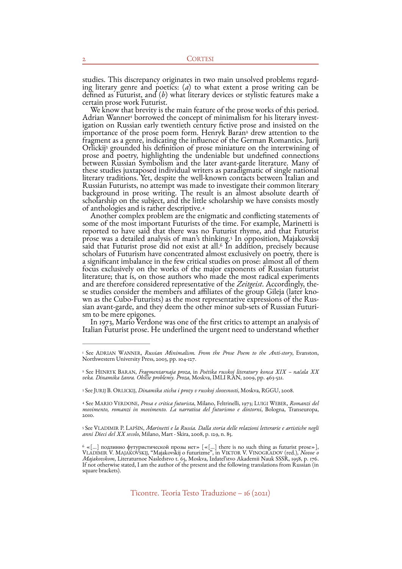<span id="page-1-7"></span><span id="page-1-6"></span>

studies. This discrepancy origin[at](#page-1-0)esin two main unsolved p[ro](#page-1-1)blems regarding literary genre and poetics: (*a*) to what extent a prose writing ca[n](#page-1-1) be defined as Futurist, and (*b*) what literary devices or stylistic featur fragmentas a genre, indicating the influence of the German Romantics. Jurij<br>Orlickij<sup>3</sup> grounded his definition of prose miniature on the intertwining of prose and poetry, highlighting the undeniable but undefined connections between Russian Symbolism and the later avant-garde literature. Many of these studies juxtaposed individual writers as paradigmatic of single national literary traditions. Yet, despite the well-known contacts between Italian and Russian Futurists, no attempt was made to investigate their common literary background in prose writing. The result is an almost absolute dearth of scholarship on the subject, and the little scholarship we have consists mostly

<span id="page-1-11"></span><span id="page-1-10"></span><span id="page-1-9"></span><span id="page-1-8"></span>of anthologies and is rather descriptive.<sup>4</sup><br>Another complex problem are the enigmatic and conflicting statements of some of the most important Futurists of the time. For example, Marinetti is reported to have said that there was no Futurist rhyme, and that Futurist prose was a detailed analysis of man's thinking[.](#page-1-4) In opposition, Majakovskij [5](#page-1-4) saidthat Futurist prose did not exist at all.<sup>[6](#page-1-5)</sup> In addition, precisely because scholars of Futurism have concentrated almost exclusively on poetry, there is a significant imbalance in the few critical studies on prose: almost all of them focus exclusively on the works of the major exponents of Russian futurist literature; that is, on those authors who made the most radical experiments and are therefore considered representative of the *Zeitgeist*. Accordingly, these studies consider the members and affiliates of the group Gileja (later known as the Cubo-Futurists) as the most representative expressions

<span id="page-1-0"></span><sup>&</sup>lt;sup>[1](#page-1-6)</sup> See ADRIAN WANNER, Russian Minimalism. From the Prose Poem to the Anti-story, Evanston, Northwestern University Press, 2003, pp. 104-127.

<span id="page-1-1"></span>See HENRYK BARAN, *Fragmentarnaja proza*, in *Poėtika russkoj literatury konca XIX – načala XX* [2](#page-1-7) *veka. Dinamika žanra. Obščie problemy. Proza*, Moskva, IMLI RAN, 2009, pp. 463-521.

<span id="page-1-2"></span>See JURIJ B. ORLICKIJ, *Dinamika sticha i prozy v russkoj slovesnosti*, Moskva, RGGU, 2008. [3](#page-1-8)

<span id="page-1-3"></span>See MARIO VERDONE, *Prosa e critica futurista*, Milano, Feltrinelli, 1973; LUIGI WEBER, *Romanzi del* [4](#page-1-9) *movimento, romanzi in movimento. La narrativa del futurismo e dintorni*, Bologna, Transeuropa, 2010.

<span id="page-1-4"></span>See VLADIMIR P. LAPŠIN, *Marinetti e la Russia. Dalla storia delle relazioni letterarie e artistiche negli* [5](#page-1-10) *anni Dieci del XX secolo*, Milano, Mart - Skira, 2008, p. 129, n. 85.

<span id="page-1-5"></span> $\delta\ll[...]$  подлинно футуристической прозы нет»  $[\ll[...]$  there is no such thing as futurist prose»], VLADIMIR V. MAJAKOVSKIJ, "Majakovskij o futurizme", in VIKTOR V. VINOGRADOV (red.), *Novoe o Majakovskom*, Literaturnoe Nasledstvo t. 65, Moskva, Izdatel'stvo Akademii Nauk SSSR, 1958, p. 176.<br>If not otherwise stated, I am the author of the present and the following translations from Russian (in square brackets).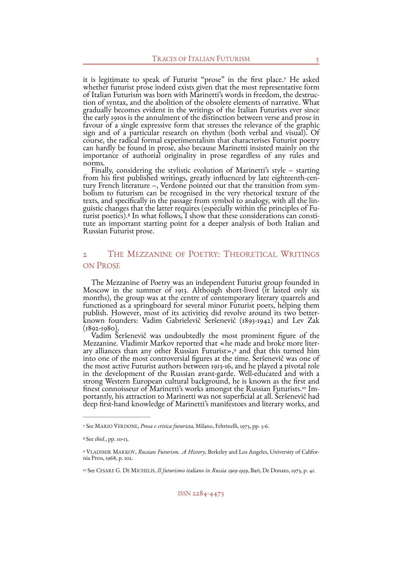<span id="page-2-4"></span>it is legitimate to speak of Futurist "prose" in the first place.<sup>[7](#page-2-0)</sup> He asked whether futurist prose indeed exists given that the most representative form of Italian Futurism was born with Marinetti's words in freedom, the destruc- tion of syntax, and the abolition of the obsolete elements of narrative. What gradually becomes evident in the writings of the Italian Futurists ever since the early 1910s is the annulment of the distinction between verse and prose in favour of a single expressive form that stresses the relevance of the graphic sign and of a particular research on rhythm (both verbal and visual). Of course, the radical formal experimentalism that characterises Futurist poetry can hardly be found in prose, also because Marinetti insisted mainly on the importance of authorial originality in prose regardless of any rules and norms.<br>Finally, considering the stylistic evolution of Marinetti's style – starting

from his first published writings, greatly influenced by late eighteenth-century French literature –, Verdone pointed out that the transition from symbolism to futurism can be recognised in the very rhetorical texture of t guistic changes that the latter requires (especially within the principles of Futurist poetics).<sup>8</sup> In what follows, I show that these considerations can constitute an important starting point for a deeper analysis of both Russian Futurist prose.

# <span id="page-2-5"></span>2 THE MEZZANINE OF POETRY: THEORETICAL WRITINGS ON PROSE

The Mezzanine of Poetry was an independent Futurist group founded in Moscow in the summer of 1913. Although short-lived (it lasted only six months), the group was at the centre of contemporary literary quarrels and functioned as a springboard for several minor Futurist poets, helping them publish. However, most of its activities did revolve around its two betterknown founders: Vadim Gabrielevič Šeršenevič (1893-1942) and Lev Zak (1892-1980).<br>Vadim Šeršenevič was undoubtedly the most prominent figure of the

<span id="page-2-6"></span>Mezzanine. Vladimir Markov reported that «he made and broke more liter-<br>ary alliances than any other Russian Futurist»,<sup>[9](#page-2-2)</sup> and that this turned him into one of the most controversial figures at the time. Šeršenevič was one of the most active Futurist authors between 1913-16, and he played a pivotal role in the development of the Russian avant-garde. Well-educated and with a strong Western European cultural background, he is known as the first and<br>finest connoisseur of Marinetti's works amongst the Russian Futurists.<sup>10</sup> Importantly, his attraction to Marinetti was not superficial at all. Šeršenevič had deep first-hand knowledge of Marinetti's manifestoes and literary works, and

<span id="page-2-7"></span><span id="page-2-0"></span>See MARIO VERDONE, *Prosa e critica futurista*, Milano, Feltrinelli, 1973, pp. 5-6. [7](#page-2-4)

<span id="page-2-1"></span>See *ibid*., pp. 10-13. [8](#page-2-5)

<span id="page-2-2"></span><sup>&</sup>lt;sup>[9](#page-2-6)</sup> VLADIMIR MARKOV, *Russian Futurism. A History*, Berkeley and Los Angeles, University of California Press, 1968, p. 102.

<span id="page-2-3"></span><sup>&</sup>lt;sup>[10](#page-2-7)</sup> See CESARE G. DE MICHELIS, *Il futurismo italiano in Russia 1909-1929*, Bari, De Donato, 1973, p. 41.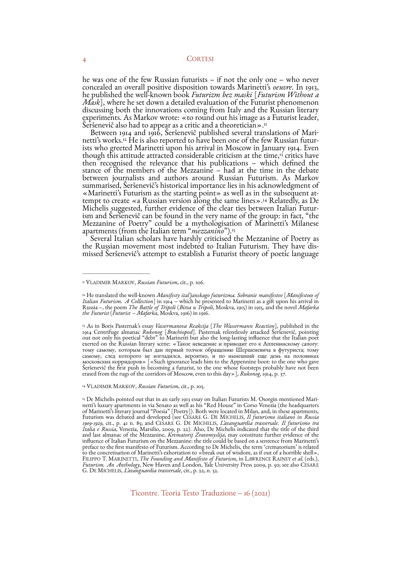he was one of the few Russian futurists – if not the only one – who never concealed an overall positive disposition towards Marinetti's *oeuvre*. In 1913, he published the well-known book *Futurizm bez maski* [*Futurism Without a*  discussing both the innovations coming from Italy and the Russian literary experiments. As Markov wrote: «to round out his image as a Futurist leader, Seršenevič also had to appear as a critic and a theoretician»."

<span id="page-3-7"></span><span id="page-3-6"></span><span id="page-3-5"></span>Between 1914 and 1916, Šeršenevič published several translations of Marinetti'sworks.<sup>12</sup> He is also reported to have been one of the few Russian futurists who greeted Marinetti upon his arrival in Moscow in January 1914. Even though this attitude attracted considerable criticism at the time[,](#page-3-2)<sup>[13](#page-3-2)</sup> critics have then recognised the relevance that his publications – which defined the stance of the members of the Mezzanine – had at the time in the debate between journalists and authors around Russian Futurism. As Markov summarised, Seršenevič's historical importance lies in his acknowledgment of «Marinetti's Futurism as the starting point» as well as in the subsequent attempt to create «a Russian version along the same lines».<sup>[14](#page-3-3)</sup> Related Michelis suggested, further evidence of the clear ties between Italian Futur-<br>ism and Šeršenevič can be found in the very name of the group: in fact, "the<br>Mezzanine of Poetry" could be a mythologisation of Marinetti's Mila apartments (from the Italian term "*mezzanino*")[.15](#page-3-4)

<span id="page-3-9"></span><span id="page-3-8"></span>Several Italian scholars have harshly criticised the Mezzanine of Poetry as the Russian movement most indebted to Italian Futurism. They have dis- missed Šeršenevič's attempt to establish a Futurist theory of poetic language

<span id="page-3-3"></span><sup>[14](#page-3-8)</sup> VLADIMIR MARKOV, Russian Futurism, cit., p. 105.

<span id="page-3-0"></span><sup>&</sup>lt;sup>[11](#page-3-5)</sup> VLADIMIR MARKOV, *Russian Futurism*, cit., p. 106.

<span id="page-3-1"></span><sup>&</sup>lt;sup>[12](#page-3-6)</sup> He translated the well-known *Manifesty ital'janskago futurizma. Sobranie manifestov* [*Manifestoes of Italian Futurism. A Collection*] in 1914 – which he presented to Marinetti as a gift upon his arrival in Russia –, the poem *The Battle of Tripoli* (*Bitva u Tripoli*, Moskva, 1915) in 1915, and the novel *Mafarka*<br>the Futurist (*Futurist – Mafarka*, Moskva, 1916) in 1916.

<span id="page-3-2"></span><sup>&</sup>lt;sup>[13](#page-3-7)</sup> As in Boris Pasternak's essay *Vassermanova Reakcija* [*The Wassermann Reaction*], published in the The Centrifuge almanac Rukonog [Brachiopod]. Pasternak releasely attacked Sersenevič, pointing<br>out not only his poetical "debt" to Marinetti but also the long-lasting influence that the Italian poet<br>exerted on the Russian MOCKOBCKHX KOPPHAOPOB» [«Such ignorance leads him to the Appennine boot: to the one who gave<br>Seršenevič the first push in becoming a futurist, to the one whose footsteps probably have not been<br>erased from the rugs of the c

<span id="page-3-4"></span><sup>5</sup> De Michelis pointed out that in an early 1913 essay on Italian Futurists M. Osorgin mentioned Mari-<br>netti's luxury apartments in via Senato as well as his "Red House" in Corso Venezia (the headquarters of Marinetti's literary journal "Poesia" [Poetry]). Both were located in Milan, and, in these apartments, Futurism was debated and developed (see CESARE G. DE MICHELIS, *Il futurismo italiano in Russia*  1909-1929, cit., p. 41 n. 85; and CESARE G. DE MICHELIS, *L'avanguardia trasversale. Il futurismo tra<br>I<i>talia e Russia*, Venezia, Marsilio, 2009, p. 22). Also, De Michelis indicated that the title of the third<br>and last alm influence of Italian Futurism on the Mezzanine: the title could be based on a sentence from Marinetti's preface to the first manifesto of Futurism. According to De Michelis, the term 'crematorium' is related to the concretisation of Marinetti's exhortation to «break out of wisdom, as if out of a horrible shell», FILIPPO T. MARINETTI, *The Founding and Manifesto of Futurism*, in LAWRENCE RAINEY *et al.* (eds.), *Futurism. An Antholog*, New Haven and London, Yale University Press 2009, p. 50; see also CESARE G. DE MICHELIS, *L'avanguardia trasversale*, cit., p. 22, n. 52.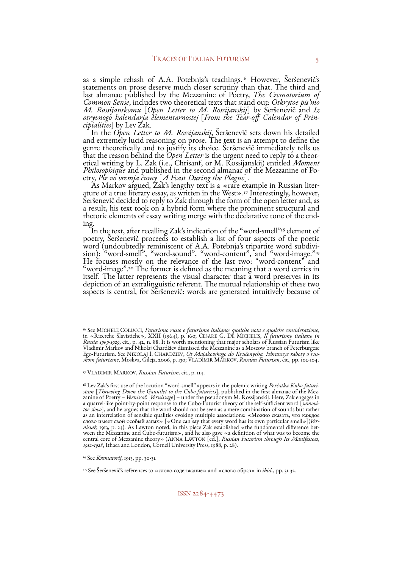<span id="page-4-5"></span>as a simple rehash of A.A. Potebnja's teachings.<sup>16</sup> However, Šeršenevič's statements on prose deserve much closer scrutiny than that. The third and<br>last almanac published by the Mezzanine of Poetry, The Crematorium of last almanac published by the Mezzanine of Poetry, *The Crematorium o<sup>f</sup> Common Sense*, includes two theoretical texts that stand out: *Otkrytoe pis'mo M. Rossijanskomu* [*Open Letter to M. Rossijanskij*] by Šeršenevič and *Iz*  otryvnogo kalendarja êlementarnostej [From the Tear-off Calendar of Prin-<br>cipialities] by Lev Zak.<br>In the Open Letter to M. Rossijanskij, Šeršenevič sets down his detailed

In the *Open Letter to M. Rossijanskij*, Seršenevič sets down his detailed and extremely lucid reasoning on prose. The text is an attempt to define the genre theoretically and to justify its choice. Seršenevič immediately tells us<br>that the reason behind the *Open Letter* is the urgent need to reply to a theor-<br>etical writing by L. Zak (i.e., Chrisanf, or M. Rossijanskij) *Philosophique* and published in the second almanac of the Mezzanine of Po- etry, *Pir vo vremja čumy* [*A Feast During the Plague*]. etry, *Pir vo<sup>t</sup> vremja čumy* [A Feast During the Plague].<br>As Markov argued, Zak's lengthy text is a «rare example in Russian liter-

<span id="page-4-6"></span>ature of a true literary essay, as written in the West»[.](#page-4-1)<sup>[17](#page-4-1)</sup> Interestingly, however, <sup>Š</sup>eršenevič decided to reply to Zak through the form of the open letter and, as a result, his text took on a hybrid form where the prominent structural and

<span id="page-4-9"></span><span id="page-4-8"></span><span id="page-4-7"></span>ing.<br>In the text, after recalling Zak's indication of the ["](#page-4-2)word-smell" <sup>[18](#page-4-2)</sup> element of poetry, Seršenevič proceeds to establish a list of four aspects of the poetic poetry, Seršenevič proceeds to establish a list of four aspects of the poetic word (undoubtedly reminiscent of A.A. Potebnja's tripartite word subdivi-<br>sion): "word-smell", "word-sound", "word-content", and "word-image.["19](#page-4-3) He focuses mostly on the relevance of the last two: "word-content" and "word-image".<sup>20</sup> The former is defined as the meaning that a word carries in itself. The latter represents the visual character that a word preserves in its depiction of an extralinguistic referent. The mutual relationship of these two aspects is central, for Šeršenevič: words are generated intuitively because of

<span id="page-4-0"></span><sup>&</sup>lt;sup>[16](#page-4-5)</sup> See MICHELE COLUCCI, *Futurismo russo e futurismo italiano: qualche nota e qualche considerazione*, in «Ricerche Slavistiche», XXII (1964), p. 160; CESARE G. DE MICHELIS, *Il futurismo italiano in Russia 1909-1929*, cit., p. 42, n. 88. It is worth mentioning that major scholars of Russian Futurism like<br>Vladimir Markov and Nikolaj Chardžiev dismissed the Mezzanine as a Moscow branch of Peterburgese Ego-Futurism. See NIKOLAJ İ. CHARDŽIEV, *Ot Majakovskogo do Kručenycha. Izbrannye raboty o rus-*<br>*skom futurizme*, Moskva, Gileja, 2006, p. 130; VLADIMIR MARKOV, *Russian Futurism*, cit., pp. 102-104.

<span id="page-4-1"></span>VLADIMIR MARKOV, *Russian Futurism*, cit., p. 114. [17](#page-4-6)

<span id="page-4-2"></span><sup>&</sup>lt;sup>[18](#page-4-7)</sup> Lev Zak's first use of the locution "word-smell" appears in the polemic writing *Perčatka Kubo-futuri-*<br>*stam* [*Throwing Down the Gauntlet to the Cubo-futurists*], published in the first almanac of the Mez-<br>zanine o ween the Mezzanine and Cubo-futurism», and he also gave «a definition of what was to become the central core of Mezzanine theory» (ANNA LAWTON [ed.], *Russian Futurism through Its Manifestoes*, 1912-1928, Ithaca and London

<span id="page-4-3"></span><sup>&</sup>lt;sup>[19](#page-4-8)</sup> See *Krematorij*, 1913, pp. 30-31.

<span id="page-4-4"></span><sup>&</sup>lt;sup>[20](#page-4-9)</sup> See Šeršenevič's references to «слово-содержание» and «слово-образ» in *ibid*., pp. 31-32.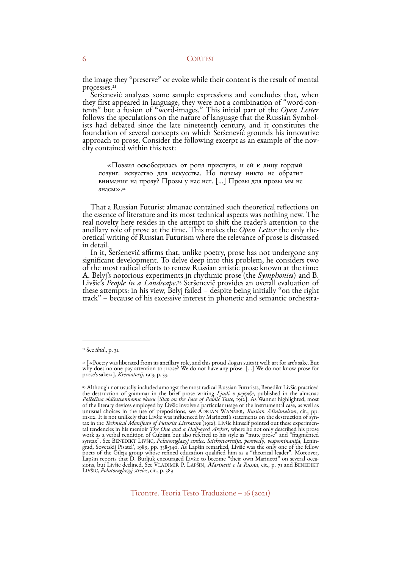<span id="page-5-3"></span>the image they "preserve" or evoke while their content is the result of mental processes.<sup>21</sup><br>Šeršenevič analyses some sample expressions and concludes that, when

they first appeared in language, they were not a combination of "word-contents" but a fusion of "word-images." This initial part of the *Open Letter* follows the speculations on the nature of language that the Russian Symb foundation of several concepts on which Šeršenevič grounds his innovative approach to prose. Consider the following excerpt as an example of the nov- elty contained within this text:

<span id="page-5-4"></span>«Поэзия освободилась от роля прислуги, и ей к лицу гордый лозунг: искусство для искусства. Но почему никто не обратит внимания на прозу? Прозы у нас нет. [...] Прозы для прозы мы не знаем»[.22](#page-5-1)

That a Russian Futurist almanac contained such theoretical reflections on the essence of literature and its most technical aspects was nothing new. The real novelty here resides in the attempt to shift the reader's attention to the ancillary role of prose at the time. This makes the *Open Letter* the only theoretical writing of Russian Futurism where the relevance of prose is discussed in detail.

<span id="page-5-5"></span>In it, Šeršenevič affirms that, unlike poetry, prose has not undergone any significant development. To delve deep into this problem, he considers two of the most radical efforts to renew Russian artistic prose known at the time:<br>A. Belyj's notorious experiments in rhythmic prose (the Symphonies) and B. Livšic's *People in a Landscape*.<sup>[23](#page-5-2)</sup> Šeršenevič provides an overall evaluation of these attempts: in his view, Belyj failed – despite being initially "on the right track" – because of his excessive interest in phonetic and semantic orchestra-

<span id="page-5-0"></span><sup>&</sup>lt;sup>[21](#page-5-3)</sup> See *ibid.*, p. 31.

<span id="page-5-1"></span> <sup>[«</sup>Poetry was liberated from its ancillary role, and this proud slogan suits it well: art for art's sake. But [22](#page-5-4) why does no one pay attention to prose? We do not have any prose. […] We do not know prose for prose's sake»], *Krematorij*, 1913, p. 33.

<span id="page-5-2"></span><sup>&</sup>lt;sup>[23](#page-5-5)</sup> Although not usually included amongst the most radical Russian Futurists, Benedikt Livšic practiced the destruction of grammar in the brief prose writing *Ljudi v pejzaže*, published in the almanac<br>*Poščečina obščestvennomu vkusu* [*Slap on the Face of Public Taste*, 1912]. As Wanner highlighted, most Poščečina obščestvennomu vkusu [Slap on the Face of Public Taste, 1912]. As Wanner highlighted, most<br>of the literary devices employed by Livšic involve a particular usage of the instrumental case, as well as<br>unusual choice syntax". See BENEDIKT LIVŠIC, *Polutoraglazyj strelec. Stichotvorenija, perevody, vospominanijā,* Lenin-<br>grad, Sovetskij Pisatel', 1989, pp. 338-340. As Lapšin remarked, Livšic was the only one of the fellow<br>poets of the G Poets of the Gileja group whose refined education qualified him as a "theorical leader". Moreover, Lapšin reports that D. Burljuk encouraged Livšic to become "their own Marinetti" on several occa- sions, but Livšic decline LIVŠIC, *Polutoraglazyj strelec*, cit., p. 389.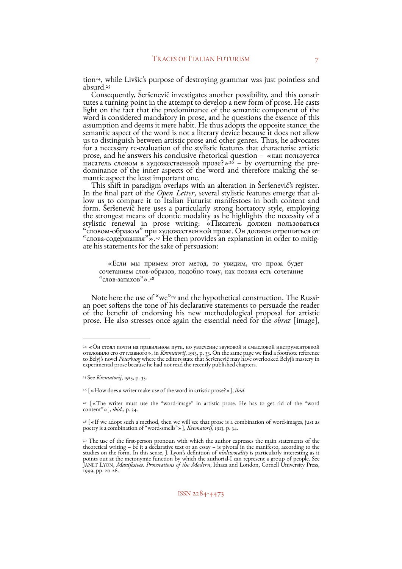<span id="page-6-7"></span><span id="page-6-6"></span>tion<sup>[24](#page-6-0)</sup>, while Livšic's purpose of destroying grammar was just pointless and absurd[.25](#page-6-1)

Consequently, Šeršenevič investigates another possibility, and this constitutes a turning point in the attempt to develop a new form of prose. He casts light on the fact that the predominance of the semantic component of the word is considered mandatory in prose, and he questions the essence of this assumption and deems it mere habit. He thus adopts the opposite stance: the semantic aspect of the word is not a literary device because it does not allow us to distinguish between artistic prose and other genres. Thus, he advocates for a necessary re-evaluation of the stylistic features that characterise artistic prose, and he answers his conclusive rhetorical question – «как пользуется

<span id="page-6-8"></span>dominanceof the inner aspects of the word and therefore making the se-<br>mantic aspect the least important one.<br>This shift in paradigm overlaps with an alteration in Šeršenevič's register.<br>In the final part of the *Open Let* the strongest means of deontic modality as he highlights the necessity of a stylistic renewal in prose writing: «Писатель должен пользоваться "словом-образом" при художественной прозе. Он должен отрешиться от "слова-содержания"».<sup>27</sup> He then provides an explanation in order to mitigate his statem

<span id="page-6-11"></span><span id="page-6-10"></span><span id="page-6-9"></span>«Если мы примем этот метод, то увидим, что проза будет сочетанием слов-образов, подобно тому, как поэзия есть сочетание "слов-запахов"».[28](#page-6-4)

Note here the use of ["](#page-6-5)we"<sup>29</sup> and the hypothetical construction. The Russian poet softens the tone of his declarative statements to persuade the reader of the benefit of endorsing his new methodological proposal for artistic<br>prose. He also stresses once again the essential need for the *obraz* [image],

<span id="page-6-0"></span><sup>&</sup>lt;sup>[24](#page-6-6)</sup> «Он стоял почти на правильном пути, но увлечение звуковой и смысловой инструментовкой<br>отклонило его от главного», in *Krematorij*, 1913, p. 33. On the same page we find a footnote reference to Belyj's novel *Peterbur*g where the editors state that Seršenevič may have overlooked Belyj's mastery in<br>experimental prose because he had not read the recently published chapters.

<span id="page-6-1"></span><sup>&</sup>lt;sup>[25](#page-6-7)</sup> See *Krematorij*, 1913, p. 33.

<span id="page-6-2"></span><sup>&</sup>lt;sup>[26](#page-6-8)</sup> [«How does a writer make use of the word in artistic prose?»], *ibid*.

<span id="page-6-3"></span><sup>&</sup>lt;sup>[27](#page-6-9)</sup> [«The writer must use the "word-image" in artistic prose. He has to get rid of the "word content"»], *ibid*., p. 34.

<span id="page-6-4"></span><sup>&</sup>lt;sup>[28](#page-6-10)</sup> [«If we adopt such a method, then we will see that prose is a combination of word-images, just as poetry is a combination of "word-smells"»], *Krematorij*, 1913, p. 34.

<span id="page-6-5"></span><sup>&</sup>lt;sup>[29](#page-6-11)</sup> The use of the first-person pronoun with which the author expresses the main statements of the theoretical writing – be it a declarative text or an essay – is pivotal in the manifesto, according to the studies on the form. In this sense, J. Lyon's definition of *multivocality* is particularly interesting as it studies on the form. In this sense, J. Lyon's definition of *multivocality* is particularly interesting as it<br>points out at the metonymic function by which the authorial-I can represent a group of people. See JANET LYON, *Manifestoes. Provocations of the Modern*, Ithaca and London, Cornell University Press, 1999, pp. 20-26.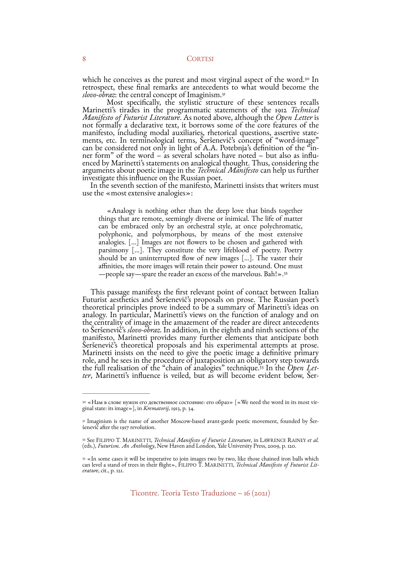<span id="page-7-4"></span>which he conceives as the purest and most virginal aspect of the word[.](#page-7-0)<sup>[30](#page-7-0)</sup> In retrospect, these final remarks are antecedents to what would become the *slovo-obraz*: the central concept of Imaginism.<sup>[31](#page-7-1)</sup><br>Most specifically, the stylistic structure of these sentences recalls

<span id="page-7-5"></span>Marinetti's tirades in the programmatic statements of the 1912 *Technical Manifesto of Futurist Literature*. As noted above, although the *Open Letter* is not formally a declarative text, it borrows some of the core features of the manifesto, including modal auxiliaries, rhetorical questions, assertive statements, etc. In terminological terms, Seršenevič's concept of "word-image" can be considered not only in light of A.A. Potebnja's definition of th arguments about poetic image in the *Technical Manifesto* can help us further investigate this influence on the Russian poet. In the seventh section of the manifesto, Marinetti insists that writers must

use the «most extensive analogies»:

<span id="page-7-6"></span>«Analogy is nothing other than the deep love that binds together things that are remote, seemingly diverse or inimical. The life of matter can be embraced only by an orchestral style, at once polychromatic, polyphonic, and polymorphous, by means of the most extensive analogies. […] Images are not flowers to be chosen and gathered with parsimony […]. They constitute the very lifeblood of poetry. Poetry should be an uninterrupted flow of new images […]. The vaster their affinities, the more images will retain their power to astound. One must —people say—spare the reader an excess of the marvelous. Bah!»[.32](#page-7-2)

This passage manifests the first relevant point of contact between Italian<br>Futurist aesthetics and Šeršenevič's proposals on prose. The Russian poet's<br>theoretical principles prove indeed to be a summary of Marinetti's idea analogy. In particular, Marinetti's views on the function of analogy and on the centrality of image in the amazement of the reader are direct antecedents to Seršenevič's *slovo-obraz*. In addition, in the eighth and ninth sections of the<br>manifesto, Marinetti provides many further elements that anticipate both manifesto, Marinetti provides many further elements that anticipate both<br>Šeršenevič's theoretical proposals and his experimental attempts at prose.<br>Marinetti insists on the need to give the poetic image a definitive primar thefull realisation of the "chain of analogies" technique.<sup>33</sup> In the *Open Letter*, Marinetti's influence is veiled, but as will become evident below, Ser-

<span id="page-7-7"></span><span id="page-7-0"></span><sup>&</sup>lt;sup>[30](#page-7-4)</sup> «Нам в слове нужен его девственное состояние: его образ» [«We need the word in its most virginal state: its image»], in *Krematorij*, 1913, p. 34.

<span id="page-7-1"></span><sup>&</sup>lt;sup>[31](#page-7-5)</sup> Imaginism is the name of another Moscow-based avant-garde poetic movement, founded by Šer-<br>šenevič after the 1917 revolution.

<span id="page-7-2"></span>See FILIPPO T. MARINETTI, *Technical Manifesto of Futurist Literature*, in LAWRENCE RAINEY *et al.* [32](#page-7-6) (eds.), *Futurism. An Antholog*, New Haven and London, Yale University Press, 2009, p. 120.

<span id="page-7-3"></span> $33 \times$  $33 \times$ In some cases it will be imperative to join images two by two, like those chained iron balls which can level a stand of trees in their flight», FILIPPO T. MARINETTI, *Technical Manifesto of Futurist Lit- erature*, cit., p. 121.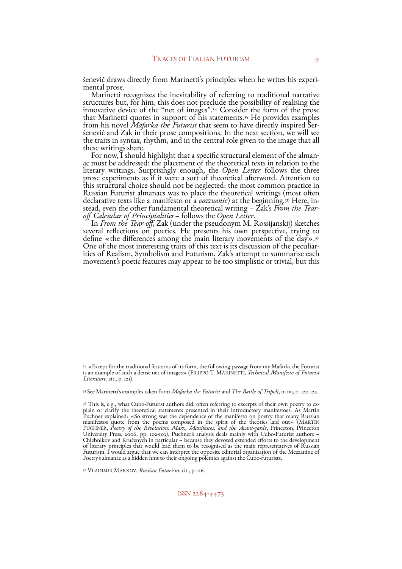<span id="page-8-5"></span><span id="page-8-4"></span>šenevič draws directly from Marinetti's principles when he writes his experimental prose.<br>Marinetti recognizes the inevitability of referring to traditional narrative<br>structures but, for him, this does not preclude the pos innovativedevice of the "net of images".<sup>[34](#page-8-0)</sup> Consider the form of the prose thatMarinetti quotes in support of his statements.<sup>[35](#page-8-1)</sup> He provides examples from his novel *Mafarka the Futurist* that seem to have directly inspired Ser-<br>šenevič and Zak in their prose compositions. In the next section, we will see<br>the traits in syntax, rhythm, and in the central role given to th

these writings share.<br>For now, I should highlight that a specific structural element of the almanac must be addressed: the placement of the theoretical texts in relation to the literary writings. Surprisingly enough, the *Open Letter* follows the three prose experiments as if it were a sort of theoretical afterword. Attention to this structural choice should not be neglected: the most common practice in Russian Futurist almanacs was to place the theoretical writings (most often declarative texts like a manifesto or a *vozzvanie*) at the beginning.<sup>36</sup> Here, instead, even the other fundamental theoretical writing – Zak's *From the Tear-off Calendar of Principialities* – follows the *Open Letter*.<br>

<span id="page-8-7"></span><span id="page-8-6"></span>several reflections on poetics. He presents his own perspective, trying [to](#page-8-3) define «the differences among the main literary movements of the day».<sup>37</sup> One of the most interesting traits of this text is its discussion of the peculiar-<br>ities of Realism, Symbolism and Futurism. Zak's attempt to summarise each movement's poetic features may appear to be too simplistic or trivial, but this

<span id="page-8-3"></span>VLADIMIR MARKOV, *Russian Futurism*, cit., p. 116. [37](#page-8-7)

<span id="page-8-0"></span> <sup>«</sup>Except for the traditional festoons of its form, the following passage from my Mafarka the Futurist [34](#page-8-4) is an example of such a dense net of images» (FILIPPO T. MARINETTI, *Technical Manifesto of Futurist Literature*, cit., p. 121).

<span id="page-8-1"></span>See Marinetti's examples taken from *Mafarka the Futurist* and *The Battle of Tripoli*, in ivi, p. 120-122. [35](#page-8-5)

<span id="page-8-2"></span><sup>&</sup>lt;sup>[36](#page-8-6)</sup> This is, e.g., what Cubo-Futurist authors did, often referring to excerpts of their own poetry to ex-<br>plain or clarify the theoretical statements presented in their introductory manifestoes. As Martin Puchner explained: «So strong was the dependence of the manifesto on poetry that many Russian manifestos quote from the poems composed in the spirit of the theories laid out» (MARTIN PUCHNER, *Poetry of the Revolution: Marx, Manifestos, and the Avant-garde*, Princeton, Princeton University Press, 2006, pp. 102-103). Puchner's analysis deals mainly with Cubo-Futurist authors – Chlebnikov and Kručenych in particular – because they devoted extended efforts to the development of literary principles that would lead them to be recognised as the main representatives of Russian Futurism. I would argue that we can interpret the opposite editorial organisation of the Mezzanine of Poetry's almanac as a hidden hint to their ongoing polemics against the Cubo-futurists.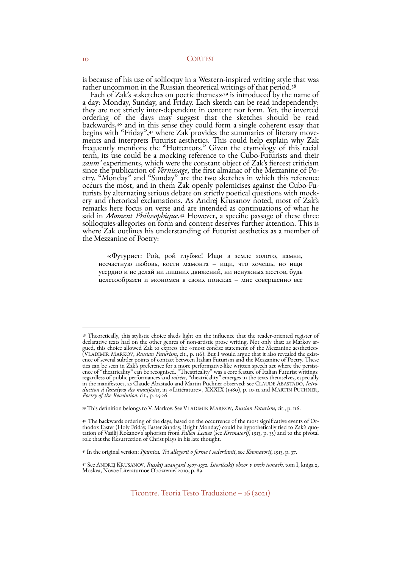<span id="page-9-5"></span>is because of his use of soliloquy in a Western-inspired writing style that was rather uncommon in the Russian theoretical writings of that period.<sup>38</sup>

<span id="page-9-8"></span><span id="page-9-7"></span><span id="page-9-6"></span>Each of Zak's «sketches on poetic themes»<sup>[39](#page-9-1)</sup> is introduced by the name of a day: Monday, Sunday, and Friday. Each sketch can be read independently: they are not strictly inter-dependent in content nor form. Yet, the inverted ordering of the days may suggest that the sketches should be read backwards, $40$  and in this sense they could form a single coherent essay that begins with "Friday", $41$  where Zak provides the summaries of literary movebeginswith "Friday",41 where Zak provides the summaries of literary move-<br>ments and interprets Futurist aesthetics. This could help explain why Zak frequently mentions the "Hottentots." Given the etymology of this racial term, its use could be a mocking reference to the Cubo-Futurists and their *zaum'* experiments, which were the constant object of Zak's fiercest criticism since the publication of *Vernissage*, the first almanac of the Mezzanine of Po- etry. "Monday" and "Sunday" are the two sketches in which this reference occurs the most, and in them Zak openly polemicises against the Cubo-Fu-<br>turists by alternating serious debate on strictly poetical questions with mock-<br>ery and rhetorical exclamations. As Andrej Krusanov noted, most of Za remarks here focus on verse and are intended as continuations of what he said in *Moment Philosophique*.<sup>[42](#page-9-4)</sup> However, a specific passage of these three soliloquies-allegories on form and content deserves further attention. This is where Zak outlines his understanding of Futurist aesthetics as a member of the Mezzanine of Poetry:

<span id="page-9-9"></span>«Футурист: Рой, рой глубже! Ищи в земле золото, камни, несчастную любовь, кости мамонта – ищи, что хочешь, но ищи усердно и не делай ни лишних движений, ни ненужных жестов, будь целесообразен и экономен в своих поисках – мне совершенно все

<span id="page-9-0"></span><sup>&</sup>lt;sup>[38](#page-9-5)</sup> Theoretically, this stylistic choice sheds light on the influence that the reader-oriented register of declarative texts had on the other genres of non-artistic prose writing. Not only that: as Markov ardeclarative texts had on the other genres of non-artistic prose writing. Not only that: as Markov ar- gued, this choice allowed Zak to express the «most concise statement of the Mezzanine aesthetics» (VLADIMIR MARKOV, *Russian Futurism*, cit., p. 116). But I would argue that it also revealed the exist-<br>ence of several subtler points of contact between Italian Futurism and the Mezzanine of Poetry. These ties can be seen in Zak's preference for a more performative-like written speech act where the persist-<br>ence of "theatricality" can be recognised. "Theatricality" was a core feature of Italian Futurist writings: regardless of public performances and *soirées*, "theatricality" emerges in the texts themselves, especially<br>in the manifestoes, as Claude Abastado and Martin Puchner observed: see CLAUDE ABASTADO, Intro-<br>duction à l'analy

<span id="page-9-1"></span>This definition belongs to V. Markov. See VLADIMIR MARKOV, *Russian Futurism*, cit., p. 116. [39](#page-9-6)

<span id="page-9-2"></span><sup>&</sup>lt;sup>[40](#page-9-7)</sup> The backwards ordering of the days, based on the occurrence of the most significative events of Orthodox Easter (Holy Friday, Easter Sunday, Bright Monday) could be hypothetically tied to Zak's quotation of Vasilij Ro

<span id="page-9-3"></span>In the original version: *Pjatnica. Tri allegorii o forme i soderžanii*, see *Krematorij*, 1913, p. 37. [41](#page-9-8)

<span id="page-9-4"></span>See ANDREJ KRUSANOV, *Russkij avangard 1907-1932. Istoričeskij obzor v trech tomach*, tom I, kniga 2, [42](#page-9-9) Moskva, Novoe Literaturnoe Obozrenie, 2010, p. 89.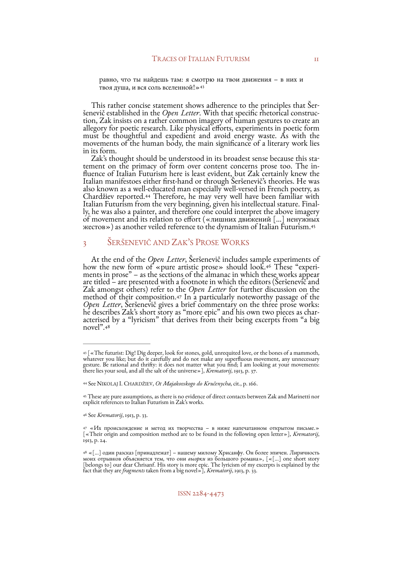<span id="page-10-6"></span>равно, что ты найдешь там: я смотрю на твои движения – в них и твоя душа, и вся соль вселенной![»43](#page-10-0)

This rather concise statement shows adherence to the principles that Šer<sup>š</sup>enevič established in the *Open Letter*. With that specific rhetorical construc- tion, Zak insists on a rather common imagery of human gestures to create an allegory for poetic research. Like physical efforts, experiments in poetic form must be thoughtful and expedient and avoid energy waste. As with the movements of the human body, the main significance of a literary work lies in its form.

<span id="page-10-7"></span>Zak's thought should be understood in its broadest sense because this statement on the primacy of form over content concerns prose too. The intement on the primacy of form over content concerns prose too. The in- fluence of Italian Futurism here is least evident, but Zak certainly knew the Italian manifestoes either first-hand or through Šeršenevič's theories. He was also known as a well-educated man especially well-versed in French poetry, as Chardžiev reported[.](#page-10-1) <sup>[44](#page-10-1)</sup> Therefore, he may very well have been familiar with Italian Futurism from the very beginning, given his intellectual stature. Final-<br>ly, he was also a painter, and therefore one could interpret the above imagery of movement and its relation to effort («лишних движений […] ненужных жестов») as another veiled reference to the dynamism of Italian Futurism[.45](#page-10-2)

# <span id="page-10-8"></span>3 ŠERŠENEVIČ AND ZAK'S PROSE WORKS

<span id="page-10-10"></span><span id="page-10-9"></span>Atthe end of the *Open Letter*, Seršenevič includes sam[ple](#page-10-3) experiments of how the new form of «pure artistic prose» should look.<sup>46</sup> These "experiments in prose" – as the sections of the almanac in which these works appea are titled – are presented with a footnote in which the editors (Šeršenevič and Zak amongst others) refer to the *Open Letter* for further discussion on the method of their composition.<sup>[47](#page-10-4)</sup> In a particularly noteworthy passage of the Open Letter, Seršenevič gives a brief commentary on the three prose works: he describes Zak's short story as "more epic" and his own two pieces as characterised by a "lyricism" that derives from their being excerpts from "a big novel"[.48](#page-10-5)

<span id="page-10-3"></span>See *Krematorij*, 1913, p. 33. [46](#page-10-9)

<span id="page-10-11"></span><span id="page-10-0"></span><sup>&</sup>lt;sup>[43](#page-10-6)</sup> [«The futurist: Dig! Dig deeper, look for stones, gold, unrequited love, or the bones of a mammoth, whatever you like; but do it carefully and do not make any superfluous movement, any unnecessary gesture. Be rational and thrifty: it does not matter what you find; I am looking at your movements:<br>there lies your soul, and all the salt of the universe»], *Krematorij*, 1913, p. 37.

<span id="page-10-1"></span>See NIKOLAJ I. CHARDŽIEV, *Ot Majakovskogo do Kručenycha*, cit., p. 166. [44](#page-10-7)

<span id="page-10-2"></span>These are pure assumptions, as there is no evidence of direct contacts between Zak and Marinetti nor [45](#page-10-8) explicit references to Italian Futurism in Zak's works.

<span id="page-10-4"></span> <sup>«</sup>Их происхождение и метод их творчества – в ниже напечатанном открытом письме.» [47](#page-10-10) [«Their origin and composition method are to be found in the following open letter»], *Krematorij*, 1913, p. 24.

<span id="page-10-5"></span> <sup>«[…]</sup> один разсказ [принадлежат] – нашему милому Хрисанфу. Он более эпичен. Лиричность [48](#page-10-11) моих отрывков объясняется тем, что они *выорки* из большого романа», [«[…] one short story [belongs to] our dear Chrisanf. His story is more epic. The lyricism of my excerpts is explained by the fact that they are *fragments* taken from a big novel»], *Krematorij*, 1913, p. 33.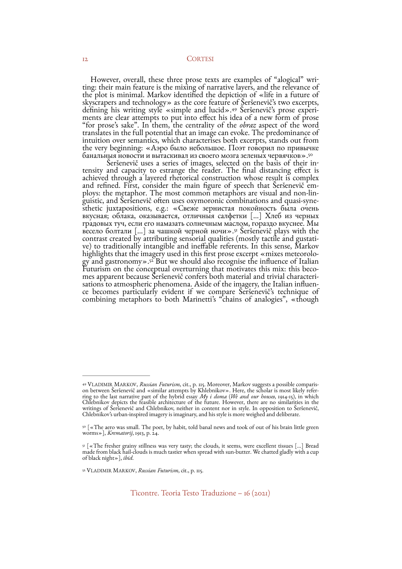<span id="page-11-4"></span>However, overall, these three prose texts are examples of "alogical" writing: their main feature is the mixing of narrative layers, and the relevance of the plot is minimal. Markov identified the depiction of «life in a future of skyscrapers and technology» as the core feature of Šeršenevič's two excerpts, defining his writing style «simple and lucid».<sup>49</sup> Šeršenevič's prose experiments are clear attempts to put into effect his idea of a new form o intuition over semantics, which characterises both excerpts, stands out from the very beginning: «Аэро было небольшое. Поэт говорил по привычке<br>банальныя новости и вытаскивал из своего мозга зеленых червячков».<sup>50</sup>

<span id="page-11-7"></span><span id="page-11-6"></span><span id="page-11-5"></span>Šeršenevič uses a series of images, selected on the basis of their intensity and capacity to estrange the reader. The final distancing effect is achieved through a layered rhetorical construction whose result is complex and refined. First, consider the main figure of speech that Šeršenevič employs: the metaphor. The most common metaphors are visual and non-linguistic, and Sersenevic often uses oxymoronic combinations and quasi-syne-<br>sthetic juxtapositions, e.g.: «Свеже зернистая покойность была очень вкусная; облака, оказывается, отличныя салфетки […] Хлеб из черных градовых туч, если его намазать солнечным маслом, гораздо вкуснее. Мы весело болтали [...] за чашкой черной ночи».<sup>[51](#page-11-2)</sup> Seršenevič plays with the contrast created by attributing sensorial qualities (mostly tactile and gustative) to traditionally intangible and ineffable referents. In this sense, Markov<br>highlights that the imagery used in this first prose excerpt «mixes meteorolo-gy and gastronomy»[.](#page-11-3)<sup>52</sup> But we should also recognise the influence of Italian Futurism on the conceptual overturning that motivates this mix: this becomes apparent because Seršenevič confers both material and trivial characterisations to atmospheric phenomena. Aside of the imagery, the Italian influence becomes particularly evident if we compare Seršenevič's technique of

<span id="page-11-0"></span><sup>&</sup>lt;sup>[49](#page-11-4)</sup> VLADIMIR MARKOV, *Russian Futurism*, cit., p. 115. Moreover, Markov suggests a possible comparison between Šeršenevič and «similar attempts by Khlebnikov». Here, the scholar is most likely referring to the last narra Chlebnikov depicts the feasible architecture of the future. However, there are no similarities in the writings of Šeršenevič and Chlebnikov, neither in content nor in style. In opposition to Šeršenevič,<br>Chlebnikov's urban-inspired imagery is imaginary, and his style is more weighed and deliberate.

<span id="page-11-1"></span>[<sup>50</sup>](#page-11-5) [«The aero was small. The poet, by habit, told banal news and took of out of his brain little green worms»], *Krematorij*, 1913, p. 24.

<span id="page-11-2"></span><sup>&</sup>lt;sup>51</sup>[«The fresher grainy stillness was very tasty; the clouds, it seems, were excellent tissues [...] Bread made from black hail-clouds is much tastier when spread with sun-butter. We chatted gladly with a cup of black night»], *ibid*.

<span id="page-11-3"></span><sup>&</sup>lt;sup>[52](#page-11-7)</sup> VLADIMIR MARKOV, *Russian Futurism*, cit., p. 115.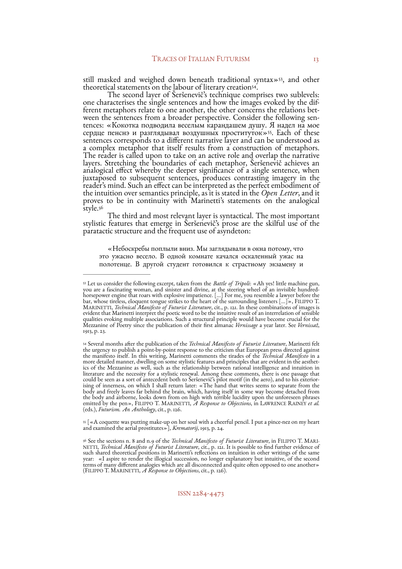<span id="page-12-5"></span><span id="page-12-4"></span>still masked and weighed down beneath traditional syntax»<sup>53</sup>[,](#page-12-0) and other theoretical statements on the labour of literary creation<sup>54</sup>[.](#page-12-1)<br>The second layer of Seršenevic's technique comprises two sublevels:

<span id="page-12-6"></span>one characterises the single sentences and how the images evoked by the dif-<br>ferent metaphors relate to one another, the other concerns the relations bet-<br>ween the sentences from a broader perspective. Consider the follow сердце пенснэ и разглядывал воздушных проституток»<sup>[55](#page-12-2)</sup>. Each of these sentences corresponds to a different narrative layer and can be understood as sentences corresponds to a different narrative layer and can be understood as a complex metaphor that itself results from a construction of metaphors. The reader is called upon to take on an active role and overlap the narrative layers. Stretching the boundaries of each metaphor, Šeršenevič achieves an<br>analogical effect whereby the deeper significance of a single sentence, when juxtaposed to subsequent sentences, produces contrasting imagery in the reader's mind. Such an effect can be interpreted as the perfect embodiment of the intuition over semantics principle, as it is stated in the *Open Letter*, and it proves to be in continuity with Marinetti's statements on the analogical style[.56](#page-12-3)

<span id="page-12-7"></span>The third and most relevant layer is syntactical. The most important stylistic features that emerge in Šeršenevič's prose are the skilful use of the paratactic structure and the frequent use of asyndeton:

«Небоскребы поплыли вниз. Мы заглядывали в окна потому, что это ужасно весело. В одной комнате качался оскаленный ужас на полотенце. В другой студент готовился к страстному экзамену и

<span id="page-12-2"></span> $\frac{m}{s}$  [«A coquette was putting make-up on her soul with a cheerful pencil. I put a pince-nez on my heart and examined the aerial prostitutes»], *Krematorij*, 1913, p. 24.

ISSN 2284-4473

<span id="page-12-0"></span>Let us consider the following excerpt, taken from the *Battle of Tripoli*: «Ah yes! little machine gun, [53](#page-12-4) you are a fascinating woman, and sinister and divine, at the steering wheel of an invisible hundredhorsepower engine that roars with explosive impatience. [...] For me, you resemble a lawyer before the bar, whose tireless, eloquent tongue strikes to the heart of the surrounding listeners [...]», FILIPPO T. MARINETTI, *Technical Manifesto of Futurist Literature*, cit., p. 121. In these combinations of images is<br>evident that Marinetti interpret the poetic word to be the intuitive result of an interrelation of sensible qualities evoking multiple associations. Such a structural principle would have become crucial for the Mezzanine of Poetry since the publication of their first almanac *Vernissage* a year later. See *Vernissaž*, 1913, p. 23.

<span id="page-12-1"></span>Several months after the publication of the *Technical Manifesto of Futurist Literature*, Marinetti felt [54](#page-12-5) the urgency to publish a point-by-point response to the criticism that European press directed against the manifesto itself. In this writing, Marinetti comments the tirades of the *Technical Manifesto* in a more detailed manner, dwelling on some stylistic features and principles that are evident in the aesthet- ics of the Mezzanine as well, such as the relationship between rational intelligence and intuition in literature and the necessity for a stylistic renewal. Among these comments, there is one passage that could be seen as a sort of antecedent both to Šeršenevič's pilot motif (in the aero), and to his exterior- ising of innerness, on which I shall return later: «The hand that writes seems to separate from the body and freely leaves far behind the brain, which, having itself in some way become detached from the body and airborne, looks down from on high with terrible lucidity upon the unforeseen phrases emitted by the pen», FILIPPO T. MARINETTI, *A Response to Objections*, in LAWRENCE RAINEY *et al.* (eds.), *Futurism. An Antholog*, cit., p. 126.

<span id="page-12-3"></span><sup>&</sup>lt;sup>[56](#page-12-7)</sup> See the sections n. 8 and n.9 of the *Technical Manifesto of Futurist Literature*, in FILIPPO T. MARI-NETTI, *Technical Manifesto of Futurist Literature*, cit., p. 121. It is possible to find further evidence of such shared theoretical positions in Marinetti's reflections on intuition in other writings of the same<br>year: «I aspire to render the illogical succession, no longer explanatory but intuitive, of the second terms of many different analogies which are all disconnected and quite often opposed to one another» (FILIPPO T. MARINETTI, *A Response to Objections*, cit., p. 126).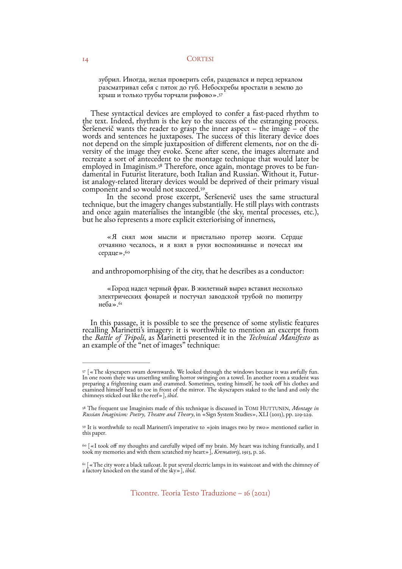<span id="page-13-5"></span>зубрил. Иногда, желая проверить себя, раздевался и перед зеркалом разсматривал себя с пяток до губ. Небоскребы вростали в землю до крыш и только трубы торчали рифово»[.57](#page-13-0)

These syntactical devices are employed to confer a fast-paced rhythm to the text. Indeed, rhythm is the key to the success of the estranging process. <sup>Š</sup>eršenevič wants the reader to grasp the inner aspect – the image – of the words and sentences he juxtaposes. The success of this literary device does not depend on the simple juxtaposition of different elements, nor on the diversity of the image they evoke. Scene after scene, the images alternate and recreate a sort of antecedent to the montage technique that would late employed in Imaginism.<sup>[58](#page-13-1)</sup> Therefore, once again, montage proves to be fun-<br>damental in Futurist literature, both Italian and Russian. Without it, Futur-<br>ist analogy-related literary devices would be deprived of their prim component and so would not succeed.[59](#page-13-2)

<span id="page-13-6"></span>In the second prose excerpt, Šeršenevič uses the same structural technique, but the imagery changes substantially. He still plays with contrasts and once again materialises the intangible (the sky, mental processes, etc.), but he also represents a more explicit exteriorising of innerness,

<span id="page-13-8"></span><span id="page-13-7"></span>«Я снял мои мысли и пристально протер мозги. Сердце отчаянно чесалось, и я взял в руки воспоминанье и почесал им сердце», 60

and anthropomorphising of the city, that he describes as a conductor:

<span id="page-13-9"></span>«Город надел черный фрак. В жилетный вырез вставил несколько электрических фонарей и постучал заводской трубой по пюпитру неба». $61$ 

In this passage, it is possible to see the presence of some stylistic features recalling Marinetti's imagery: it is worthwhile to mention an excerpt from the *Battle of Tripoli*, as Marinetti presented it in the *Technical Manifesto* as an example of the "net of images" technique:

<span id="page-13-0"></span> $57$ [ «The skyscrapers swam downwards. We looked through the windows because it was awfully fun. In one room there was unsettling smiling horror swinging on a towel. In another room a student was preparing a frightening exam and crammed. Sometimes, testing himself, he took off his clothes and examined himself head to toe in front of the mirror. The skyscrapers staked to the land and only the chimneys sticked out like the reef»], *ibid*.

<span id="page-13-1"></span>The frequent use Imaginists made of this technique is discussed in TOMI HUTTUNEN, *Montage in* [58](#page-13-6) *Russian Imaginism: Poetry, Theatre and Theory*, in «Sign System Studies», XLI (2013), pp. 219-229.

<span id="page-13-2"></span><sup>&</sup>lt;sup>59</sup>It is worthwhile to recall Marinetti's imperative to «join images two by two» mentioned earlier in this paper.

<span id="page-13-3"></span> $\cdot$  [  $\scriptstyle\rm\ll$  I took off my thoughts and carefully wiped off my brain. My heart was itching frantically, and I took my memories and with them scratched my heart»], *Krematorij*, 1913, p. 26.

<span id="page-13-4"></span> $61$  $\sigma$  The city wore a black tailcoat. It put several electric lamps in its waistcoat and with the chimney of a factory knocked on the stand of the sky»], *ibid*.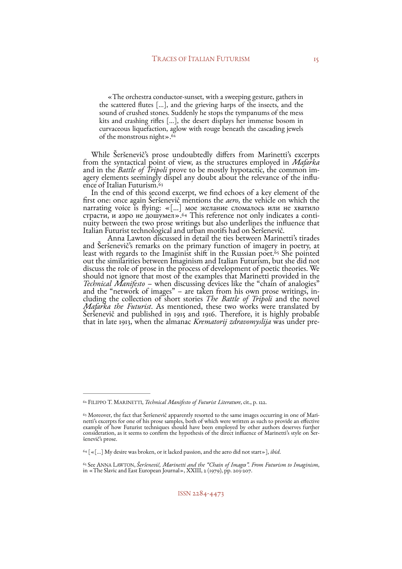<span id="page-14-4"></span>«The orchestra conductor-sunset, with a sweeping gesture, gathers in the scattered flutes […], and the grieving harps of the insects, and the sound of crushed stones. Suddenly he stops the tympanums of the mess kits and crashing rifles […], the desert displays her immense bosom in curvaceous liquefaction, aglow with rouge beneath the cascading jewels of the monstrous night».[62](#page-14-0)

While Seršenevič's prose undoubtedly differs from Marinetti's excerpts<br>from the syntactical point of view, as the structures employed in *Mafarka*<br>and in the *Battle of Tripoli* prove to be mostly hypotactic, the common im

<span id="page-14-6"></span><span id="page-14-5"></span>first one: once again Šeršenevič mentions the *aero*, the vehicle on which the narrating voice is flying:  $\ll$ [...] мое желание сломалось или не хватило страсти, и аэро не дошумел».<sup>64</sup> This reference not only indicates a conti-страсти, и аэро не дошумел»[.](#page-14-2)<sup>64</sup> This reference not only indicates a conti-<br>nuity between the two prose writings but also underlines the influence that Italian Futurist technological and urban motifs had on Šeršenevič. Anna Lawton discussed in detail the ties between Marinetti's tirades

<span id="page-14-7"></span>and Seršenevič's remarks on the primar[y](#page-14-3) function of imagery in poetry, at least with regards to the Imaginist shift in the Russian poet.<sup>65</sup> She pointed out the similarities between Imaginism and Italian Futurism, but she did not discuss the role of prose in the process of development of poetic theories. We should not ignore that most of the examples that Marinetti provided in the *Technical Manifesto* – when discussing devices like the "chain of analogies" and the "network of images" – are taken from his own prose writings, including the collection of short stories *The Battle of Tripoli* and the n *Mafarka the Futurist*. As mentioned, these two works were translated by<br>Šeršenevič and published in 1915 and 1916. Therefore, it is highly probable<br>that in late 1913, when the almanac *Krematorij zdravomyslija* was under

<span id="page-14-0"></span><sup>&</sup>lt;sup>[62](#page-14-4)</sup> FILIPPO T. MARINETTI, *Technical Manifesto of Futurist Literature*, cit., p. 122.

<span id="page-14-1"></span> $\ ^{6_3}$  Moreover, the fact that Šeršenevič apparently resorted to the same images occurring in one of Mari-<br>netti's excerpts for one of his prose samples, both of which were written as such to provide an effective example of how Futurist techniques should have been employed by other authors deserves further consideration, as it seems to confirm the hypothesis of the direct influence of Marinetti's style on Šer- <sup>š</sup>enevič's prose.

<span id="page-14-2"></span> <sup>[«[…]</sup> My desire was broken, or it lacked passion, and the aero did not start»], *ibid*. [64](#page-14-6)

<span id="page-14-3"></span>See ANNA LAWTON, *Šeršenevič, Marinetti and the "Chain of Images". From Futurism to Imaginism*, [65](#page-14-7) in «The Slavic and East European Journal», XXIII, 2 (1979), pp. 203-207.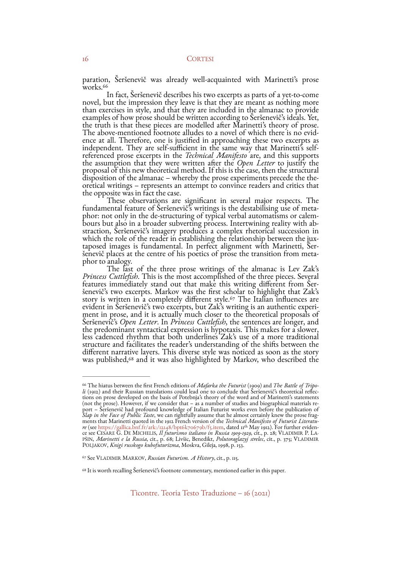<span id="page-15-3"></span>paration, Šeršenevič was already well-acquainted with Marinetti's prose<br>works.<sup>66</sup> In fact, Šeršenevič describes his two excerpts as parts of a yet-to-come

novel, but the impression they leave is that they are meant as nothing more than exercises in style, and that they are included in the almanac to provide examples of how prose should be written according to Šeršenevič's ideals. Yet, the truth is that these pieces are modelled after Marinetti's theory of prose. The above-mentioned footnote alludes to a novel of which there i ence at all. Therefore, one is justified in approaching these two excerpts as<br>independent. They are self-sufficient in the same way that Marinetti's self-<br>referenced prose excerpts in the *Technical Manifesto* are, and thi oretical writings – represents an attempt to convince readers and critics that the opposite was in fact the case.

These observations are significant in several major respects. The<br>fundamental feature of Seršenevič's writings is the destabilising use of meta-<br>p[ho](#page-15-1)r: not only in the de-structuring of typical verbal automatisms or calem-

<span id="page-15-4"></span>evident in Seršenevič's two excerpts, but Zak's writing is an authentic experi-<br>ment in prose, and it is actually much closer to the theoretical proposals of<br>Seršenevič's *Open Letter*. In *Princess Cuttlefish*, the senten Seršenevič's *Open Letter*. In *Princess Cuttlefish,* the sentences are longer, and<br>the predominant syntactical expression is hypotaxis. This makes for a slower, less cadenced rhythm that both underlines Zak's use of a more traditional structure and facilitates the reader's understanding of the shifts between the was published,<sup>[68](#page-15-2)</sup> and it was also highlighted by Markov, who described the

<span id="page-15-5"></span><span id="page-15-0"></span><sup>&</sup>lt;sup>[66](#page-15-3)</sup> The hiatus between the first French editions of *Mafarka the Futurist* (1909) and *The Battle of Tripo-*<br>*li* (1912) and their Russian translations could lead one to conclude that Seršenevič's theoretical reflections (not the prose). However, if we consider that – as a number of studies and biographical materials re-<br>port – Šeršenevič had profound knowledge of Italian Futurist works even before the publication of<br>Slap in the Face of Pu PŠIN, *Marinetti e la Russia*, cit., p. 68; Livšic, Benedikt, *Polutoraglazyj strelec*, cit., p. 375; VLADIMIR POLJAKOV, *Knigi russkogo kubofuturizma*, Moskva, Gileja, 1998, p. 153.

<span id="page-15-1"></span>See VLADIMIR MARKOV, *Russian Futurism. A History*, cit., p. 115. [67](#page-15-4)

<span id="page-15-2"></span> $68$  It is worth recalling Šeršenevič's footnote commentary, mentioned earlier in this paper.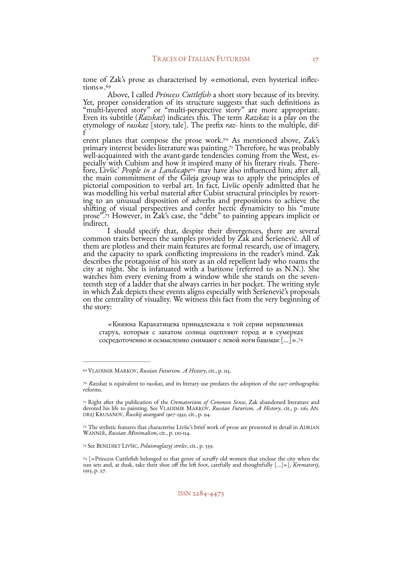<span id="page-16-6"></span>tone of Zak's prose as characterised by «emotional, even hysterical inflections».<sup>[69](#page-16-0)</sup><br>Above, I called *Princess Cuttlefish* a short story because of its brevity.

Above, I called *Princess Cuttlefish* a short story because of its brevity. Yet, proper consideration of its structure suggests that such definitions as "multi-layered story" or "multi-perspective story" are more appropriate. Even its subtitle (*Razskaz*) indicates this. The term *Razskaz* is a play on the etymology of *rasskaz* [story, tale]. The prefix *raz-* hints to the multiple, dif- <sup>f</sup>

<span id="page-16-9"></span><span id="page-16-8"></span><span id="page-16-7"></span>erent planes that compose the prose work[.](#page-16-1)<sup>[70](#page-16-1)</sup> As mentioned above, Zak's primary interest besides literature was painting[.](#page-16-2)<sup>[71](#page-16-2)</sup> Therefore, he was probably well-acquainted with the avant-garde tendencies coming from the West, eswell-acquainted with the avant-garde tendencies coming from the West, es-<br>pecially with Cubism and how it inspired many of his literary rivals. There-<br>fore, Livšic' *People in a Landscape*[72](#page-16-3) may have also influenced him; a the main commitment of the Gileja group was to apply the principles of pictorial composition to verbal art. In fact, Livšic openly admitted that he<br>was modelling his verbal material after Cubist structural principles by resort-<br>ing to an unusual disposition of adverbs and prepositions to achi shiftin[g](#page-16-4) of visual perspectives and confer hectic dynamicity to his "mute<br>prose".[73](#page-16-4) However, in Zak's case, the "debt" to painting appears implicit or indirect.

<span id="page-16-10"></span>I should specify that, despite their divergences, there are several common traits between the samples provided by Zak and Šeršenevič. All of them are plotless and their main features are formal research, use of imagery, and the capacity to spark conflicting impressions in the reader's mind. Zak and the capacity to spark conflicting impressions in the reader's mind. Zak describes the protagonist of his story as an old repellent lady who roams the city at night. She is infatuated with a baritone (referred to as N.N.). She watches him every evening from a window while she stands on the seven- teenth step of a ladder that she always carries in her pocket. The writing style in which Zak depicts these events aligns especially with Seršenevič's proposals<br>on the centrality of visuality. We witness this fact from the very beginning of the story:

<span id="page-16-11"></span>«Княжна Каракатицева принадлежала к той серии неряшливых старух, которыя с закатом солнца оцепляют город и в сумерках сосредоточенно и осмысленно снимают с левой ноги башмак […]».[74](#page-16-5)

<span id="page-16-0"></span>VLADIMIR MARKOV, *Russian Futurism. A History*, cit., p. 115. [69](#page-16-6)

<span id="page-16-1"></span>*Razskaz* is equivalent to *rasskaz*, and its literary use predates the adoption of the 1917 orthographic [70](#page-16-7) reforms.

<span id="page-16-2"></span>Right after the publication of the *Crematorium of Common Sense*, Zak abandoned literature and [71](#page-16-8) devoted his life to painting. See VLADIMIR MARKOV, *Russian Futurism. A History*, cit., p. 116; AN-DREJ KRUSANOV, *Russkij avangard 1907-1932*, cit., p. 94.

<span id="page-16-3"></span>[<sup>72</sup>](#page-16-9) The stylistic features that characterise Livšic's brief work of prose are presented in detail in ADRIAN WANNER, *Russian Minimalism*, cit., p. 110-114.

<span id="page-16-4"></span>See BENEDIKT LIVŠIC, *Polutoraglazyj strelec*, cit., p. 339. [73](#page-16-10)

<span id="page-16-5"></span> <sup>[«</sup>Princess Cuttlefish belonged to that genre of scruffy old women that enclose the city when the [74](#page-16-11) sun sets and, at dusk, take their shoe off the left foot, carefully and thoughtfully […]»], *Krematorij*, 1913, p. 27.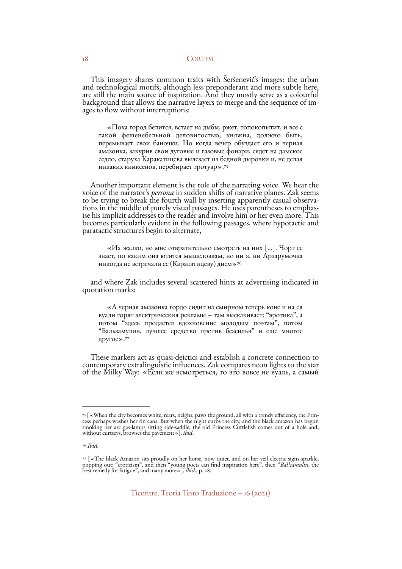This imagery shares common traits with Šeršenevič's images: the urban and technological motifs, although less preponderant and more subtle here, are still the main source of inspiration. And they mostly serve as a colourful background that allows the narrative layers to merge and the sequence of im- ages to flow without interruptions:

<span id="page-17-3"></span>«Пока город белится, встает на дыбы, ржет, топокопытит, и все с такой фешенебельной деловитостью, княжна, должно быть, перемывает свои баночки. Но когда вечер обуздает его и черная амазонка, закурив свои дуговые и газовые фонари, сядет на дамское седло, старуха Каракатицева вылезает из бедной дырочки и, не делая никаких книксенов, перебирает тротуар».[75](#page-17-0)

Another important element is the role of the narrating voice. We hear the voice of the narrator's *persona* in sudden shifts of narrative planes. Zak seems to be trying to break the fourth wall by inserting apparently casu becomes particularly evident in the following passages, where hypotactic and paratactic structures begin to alternate,

<span id="page-17-4"></span>«Их жалко, но мне отвратительно смотреть на них […]. Чорт ее знает, по каким она ютится мышеловкам, но ни я, ни Арзарумочка никогда не встречали ее (Каракатицеву) днем[»76](#page-17-1)

and where Zak includes several scattered hints at advertising indicated in quotation marks:

<span id="page-17-5"></span>«А черная амазонка гордо сидит на смирном теперь коне и на ея вуали горят электрическия рекламы – там выскакивает: "эротика", а потом "здесь продается вдохновение молодым поэтам", потом "Бальзамулин, лучшее средство против безсилья" и еще многое другое»[.77](#page-17-2)

These markers act as quasi-deictics and establish a concrete connection to contemporary extralinguistic influences. Zak compares neon lights to the star of the Milky Way: «Если же всмотреться, то это вовсе не вуаль, <sup>а</sup> самый

<span id="page-17-0"></span>[<sup>75</sup>](#page-17-3) [«When the city becomes white, rears, neighs, paws the ground, all with a trendy efficiency, the Prin- cess perhaps washes her tin cans. But when the night curbs the city, and the black amazon has begun smoking her arc gas-lamps sitting side-saddle, the old Princess Cuttlefish comes out of a hole and, without curtseys, browses the pavement»], *ibid*.

<span id="page-17-1"></span>*Ibid*. [76](#page-17-4)

<span id="page-17-2"></span> $\sqrt{77}$  $\sqrt{77}$  $\sqrt{77}$ [«The black Amazon sits proudly on her horse, now quiet, and on her veil electric signs sparkle, popping out: "eroticism", and then "young poets can find inspiration here", then "*Bal'zamulin*, the best remedy for fatigue", and many more»], *ibid*., p. 28.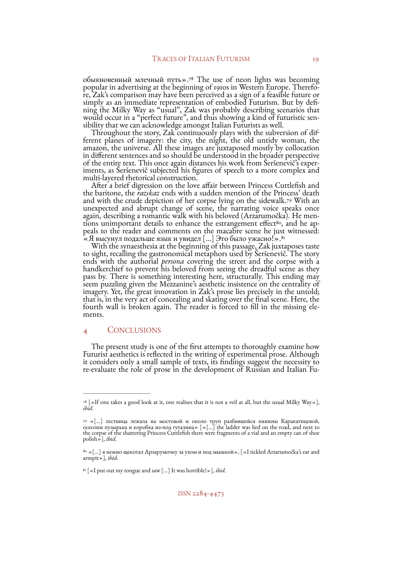<span id="page-18-4"></span>обыкновенный млечный путь».<sup>78</sup> The use of neon lights was becoming<br>popular in advertising at the beginning of 1910s in Western Europe[.](#page-18-0) Therefore, Zak's comparison may have been perceived as a sign of a feasible future or simply as an immediate representation of embodied Futurism. But by defi-<br>ning the Milky Way as "usual", Zak was probably describing scenarios that would occur in a "perfect future", and thus showing a kind of futuristic sen-<br>sibility that we can acknowledge amongst Italian Futurists as well.<br>Throughout the story, Zak continuously plays with the subversion of dif-

ferent planes of imagery: the city, the night, the old untidy woman, the amazon, the universe. All these images are juxtaposed mostly by collocation in different sentences and so should be understood in the broader perspective<br>of the entire text. This once again distances his work from Seršenevič's exper-<br>iments, as Seršenevič subjected his figures of speech to a more

<span id="page-18-5"></span>the baritone, the *razskaz* ends with a sudden mention of the Princess' death andwith the crude depiction of her corpse lying on the sidewalk.<sup>[79](#page-18-1)</sup> With an unexpected and abrupt change of scene, the narrating voice speaks once<br>again, describing a romantic walk with his beloved (Arzarumočka). He menagain, describing a romantic walk with his beloved (Arzarumočka). He men-<br>tions unimportant details to enhance the estrangement effect<sup>80</sup>, and he ap-<br>peals to the reader and comments on the macabre scene he just witnessed «Я высунул подальше язык и увидел […] Это было ужасно!»[.81](#page-18-3)

<span id="page-18-7"></span><span id="page-18-6"></span>With the synaesthesia at the beginning of this passage, Zak juxtaposes taste<br>to sight, recalling the gastronomical metaphors used by Seršenevič. The story<br>ends with the authorial *persona* covering the street and the corps pass by. There is something interesting here, structurally. This ending may seem puzzling given the Mezzanine's aesthetic insistence on the centrality of imagery. Yet, the great innovation in Zak's prose lies precisely in the untold; that is, in the very act of concealing and skating over the final scene. Here, the fourth wall is broken again. The reader is forced to fill in the missing ele- ments.

# 4 CONCLUSIONS

The present study is one of the first attempts to thoroughly examine how<br>Futurist aesthetics is reflected in the writing of experimental prose. Although<br>it considers only a small sample of texts, its findings suggest the n

<span id="page-18-0"></span> $^{78}$  $^{78}$  $^{78}$  [«If one takes a good look at it, one realises that it is not a veil at all, but the usual Milky Way»], *ibid*.

<span id="page-18-1"></span> <sup>«[…]</sup> лестница лежала на мостовой и около труп разбившейся княжны Каракатицевой, [79](#page-18-5) осколки пузырька и коробка из-под гуталина» [«[…] the ladder was lied on the road, and next to the corpse of the shattering Princess Cuttlefish there were fragments of a vial and an empty can of shoe polish»], *ibid*.

<span id="page-18-2"></span> $^{\rm 80}$  $^{\rm 80}$  $^{\rm 80}$  «[…] я нежно щекотал Арзарумочку за ухом и под мышкой», [ «I tickled Arzarumočka's ear and armpit»], *ibid*.

<span id="page-18-3"></span><sup>&</sup>lt;sup>[81](#page-18-7)</sup> [«I put out my tongue and saw [...] It was horrible!»], *ibid*.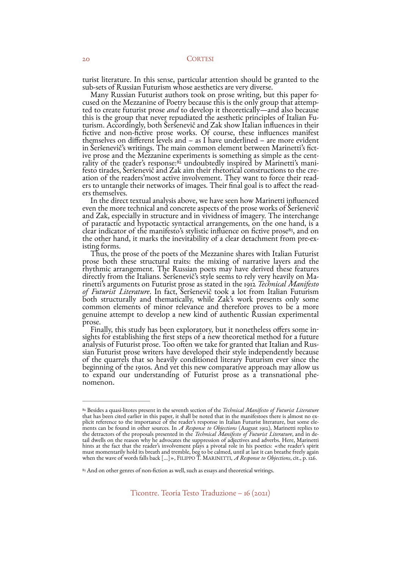turist literature. In this sense, particular attention should be granted to the sub-sets of Russian Futurism whose aesthetics are very diverse.

Many Russian Futurist authors took on prose writing, but this paper focused on the Mezzanine of Poetry because this is the only group that attempted to create futurist prose *and* to develop it theoretically—and also because this is the group that never repudiated the aesthetic principles of fictive and non-fictive prose works. Of course, these influences manifest themselves on different levels and – as I have underlined – are more evident inSeršenevič's writings. The main common element between Marinetti's fict-<br>ive prose and the Mezzanine experiments is something as simple as the centrality of the reader's response:<sup>82</sup> undoubtedly inspired by Marinetti's

<span id="page-19-2"></span>In the direct textual analysis above, we have seen how Marinetti influenced even the more technical and concrete aspects of the prose works of Šeršenevič and Zak, especially in structure and in vividness of imagery. The interchange of paratactic and hypotactic syntactical arrangements, on the one hand, is a clear indicator of the manifesto's stylistic influence on fictive prose<sup>83</sup>[,](#page-19-1) and on<br>the other hand, it marks the inevitability of a clear detachment from pre-ex-

<span id="page-19-3"></span>isting forms.<br>Thus, the prose of the poets of the Mezzanine shares with Italian Futurist<br>prose both these structural traits: the mixing of narrative layers and the rhythmic arrangement. The Russian poets may have derived these features directly from the Italians. Šeršenevič's style seems to rely very heavily on Ma- rinetti's arguments on Futurist prose as stated in the 1912 *Technical Manifesto of Futurist Literature*. In fact, Šeršenevič took a lot from Italian Futurism both structurally and thematically, while Zak's work presents only some common elements of minor relevance and therefore proves to be a more genuine attempt to develop a new kind of authentic Russian experimental

prose.<br>Finally, this study has been exploratory, but it nonetheless offers some in-<br>sights for establishing the first steps of a new theoretical method for a future analysis of Futurist prose. Too often we take for granted that Italian and Russian Futurist prose writers have developed their style independently because of the quarrels that so heavily conditioned literary Futurism ever beginning of the 1910s. And yet this new comparative approach may allow us to expand our understanding of Futurist prose as a transnational phe-<br>nomenon.

<span id="page-19-0"></span><sup>&</sup>lt;sup>[82](#page-19-2)</sup> Besides a quasi-litotes present in the seventh section of the *Technical Manifesto of Futurist Literature* that has been cited earlier in this paper, it shall be noted that in the manifestoes there is almost no explicit reference to the importance of the reader's response in Italian Futurist literature, but some elements can be found in other sources. In  $A$  Response to Objections (August 1912), Marinetti replies to the detractors hints at the fact that the reader's involvement plays a pivotal role in his poetics: «the reader's spirit must momentarily hold its breath and tremble, beg to be calmed, until at last it can breathe freely again when the wave of words falls back […]», FILIPPO T. MARINETTI, *A Response to Objections*, cit., p. 126.

<span id="page-19-1"></span><sup>&</sup>lt;sup>[83](#page-19-3)</sup> And on other genres of non-fiction as well, such as essays and theoretical writings.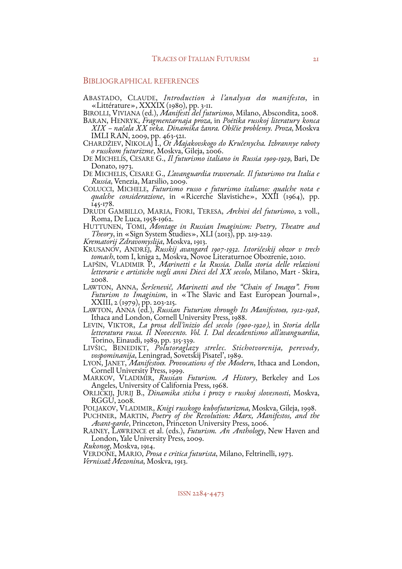# BIBLIOGRAPHICAL REFERENCES

ABASTADO, CLAUDE, *Introduction à l'analyses des manifeste*, in «Littérature», XXXIX (1980), pp. 3-11. BIROLLI, VIVIANA (ed.), *Manifesti del futurismo*, Milano, Abscondita, 2008.

- BARAN, HENRYK, *Fragmentarnaja proza*, in *Poėtika russkoj literatury konca XIX načala XX veka. Dinamika žanra. Obščie problemy. Proza*, Moskva
- IMLI RAN, 2009, pp. 463-521.<br>CHARDŽIEV, NIKOLAJ I., *Ot Majakovskogo do Kručenycha. Izbrannye raboty*<br>*o russkom futurizme*, Moskva, Gileja, 2006.<br>DE MICHELIS, CESARE G., *Il futurismo italiano in Russia 1909-1929*, Bari,
- Donato, 1973.
- DE MICHELIS, CESARE G., *L'avanguardia trasversale. Il futurismo tra Italia e Russia*, Venezia, Marsilio, 2009.
- qualche considerazione, in «Ricerche Slavistiche», XXII (1964), pp. 145-178.
- DRUDI GAMBILLO, MARIA, FIORI, TERESA, *Archivi del futurismo*, 2 voll., Roma, De Luca, 1958-1962.

HUTTUNEN, TOMI, *Montage in Russian Imaginism: Poetry, Theatre and Theory*, in «Sign System Studies», XLI (2013), pp. 219-229. *Krematorij Zdravomyslija*, Moskva, 1913.

KRUSANOV, ANDREJ, Russkij avangard 1907-1932. Istoričeskij obzor v trech<br>tomach, tom I, kniga 2, Moskva, Novoe Literaturnoe Obozrenie, 2010.<br>LAPŠIN, VLADIMIR P., *Marinetti e la Russia. Dalla storia delle relazioni* 

- *letterarie e artistiche negli anni Dieci del XX secolo*, Milano, Mart Skira, 2008.
- LAWTON, ANNA, *Šeršenevič, Marinetti and the "Chain of Images". From*
- XXIII, 2 (1979), pp. 203-215.<br>LAWTON, ANNA (ed.), *Russian Futurism through Its Manifestoes*, 1912-1928,<br>Ithaca and London, Cornell University Press, 1988.<br>LEVIN, VIKTOR, *La prosa dell'inizio del secolo (1900-1920)*, in
- 
- *letteratura russa. Il Novecento. Vol. I. Dal decadentismo all'avanguardia*, Torino, Einaudi, 1989, pp. 315-339. LIVŠIC, BENEDIKT, *Polutoraglazy strelec. Stichotvorenija, perevody,*
- LYON, JANET, *Manifestoes. Provocations of the Modern*, Ithaca and London, Cornell University Press, 1999.
- MARKOV, VLADIMIR, *Russian Futurism. A History*, Berkeley and Los<br>Angeles, University of California Press, 1968.<br>ORLICKIJ, JURIJ B., *Dinamika sticha i prozy v russkoj slovesnosti*, Moskva,
- RGGU, 2008.<br>POLJAKOV, VLADIMIR, *Knigi russkogo kubofuturizma*, Moskva, Gileja, 1998.

PUCHNER, MARTIN, *Poetry of the Revolution: Marx, Manifestos, and the Avant-garde*, Princeton, Princeton University Press, 2006.<br>RAINEY, LAWRENCE et al. (eds.), *Futurism. An Anthology*, New Haven and

- London, Yale University Press, 2009. *Rukonog*, Moskva, 1914.
- 

VERDONE, MARIO, *Prosa e critica futurista*, Milano, Feltrinelli, 1973. *Vernissaž Mezonina*, Moskva, 1913.

## ISSN 2284-4473